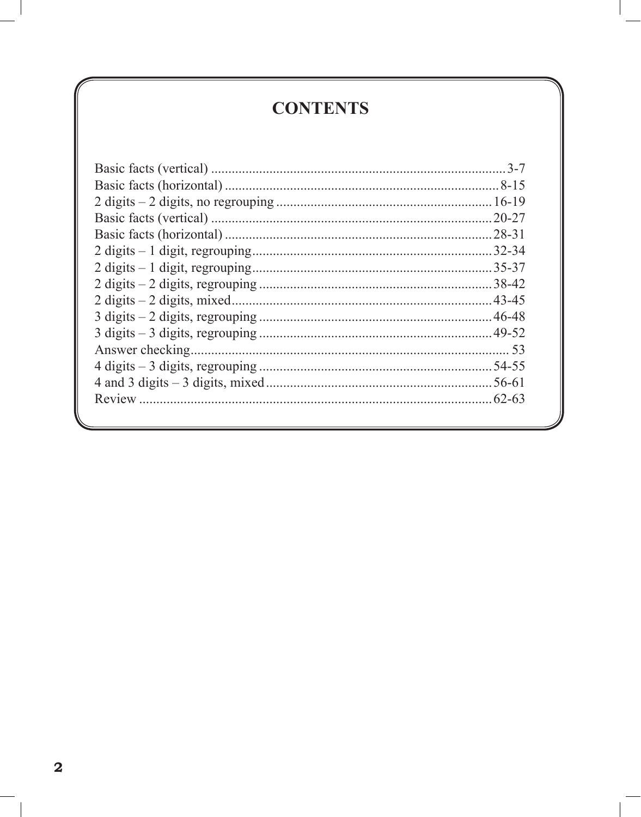## **CONTENTS**

| $.20 - 27$ |
|------------|
| $.28 - 31$ |
| $.32 - 34$ |
| $.35 - 37$ |
|            |
| $-43 - 45$ |
| 46-48      |
| $.49 - 52$ |
|            |
|            |
| $.56 - 61$ |
| $.62 - 63$ |
|            |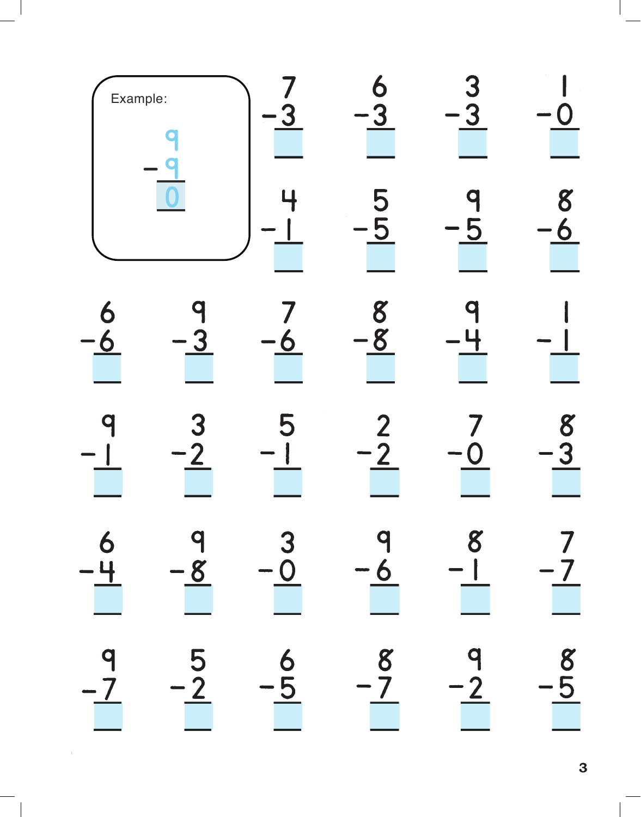| Example:  |                            |                                         |                       |                            |               |
|-----------|----------------------------|-----------------------------------------|-----------------------|----------------------------|---------------|
|           |                            |                                         |                       |                            |               |
|           |                            | D                                       | 8<br>8                |                            |               |
|           |                            |                                         | 2                     |                            | 8             |
| 6<br>$-4$ | q<br>$\frac{-8}{\sqrt{2}}$ | 3<br>$\frac{-\breve{\mathbf{O}}}{\Box}$ | q<br>$-\underline{6}$ | 8<br>$-1$                  | 7             |
| 9<br>$-7$ | 5<br>$\frac{-2}{\sqrt{2}}$ | $\frac{6}{-5}$                          | 8<br>$-7$             | q<br>$\frac{-2}{\sqrt{2}}$ | $\frac{1}{5}$ |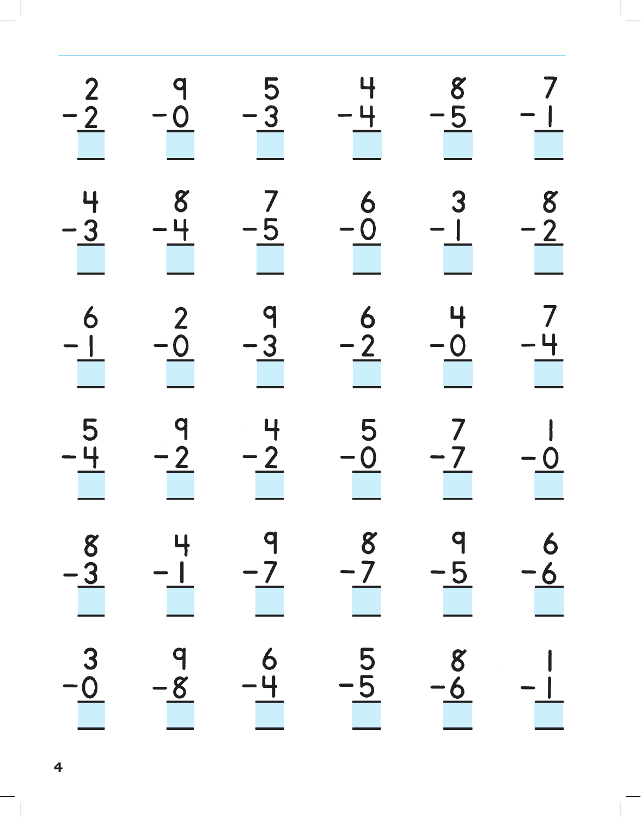|                                                | $\begin{array}{c}\n9 \\ -0 \\ \hline\n\end{array}$ | $\begin{array}{c}\n5 \\ -3\n\end{array}$           | $\frac{4}{1}$                                      | $\frac{8}{5}$                            | $\begin{array}{c}\n7 \\ 1 \\ \hline\n\end{array}$ |
|------------------------------------------------|----------------------------------------------------|----------------------------------------------------|----------------------------------------------------|------------------------------------------|---------------------------------------------------|
| $\frac{-2}{-3}$                                | $\frac{8}{1}$                                      | $\begin{array}{c}\n7 \\ -5 \\ \hline\n\end{array}$ | $\begin{array}{c}\n6 \\ -0 \\ \hline\n\end{array}$ | $\begin{array}{c}\n3 \\ -1\n\end{array}$ |                                                   |
|                                                | $\frac{2}{\sqrt{2}}$                               | $\begin{array}{c}\n1 \\ -3 \\ \hline\n\end{array}$ | $\frac{6}{2}$                                      | $\frac{4}{1}$                            | $\begin{array}{r} 8 \\ -2 \\ -1 \\ 1 \end{array}$ |
| $\begin{array}{c}\n6 \\ -5 \\ -6\n\end{array}$ | $\begin{array}{c}\n9 \\ -2\n\end{array}$           | $\frac{4}{2}$                                      | $\frac{5}{1}$                                      | $\begin{array}{c}\n7 \\ 7\n\end{array}$  | $\begin{array}{c}\n-0 \\ \hline\n\end{array}$     |
| $-\underline{3}$                               |                                                    |                                                    |                                                    |                                          |                                                   |
|                                                |                                                    |                                                    |                                                    |                                          |                                                   |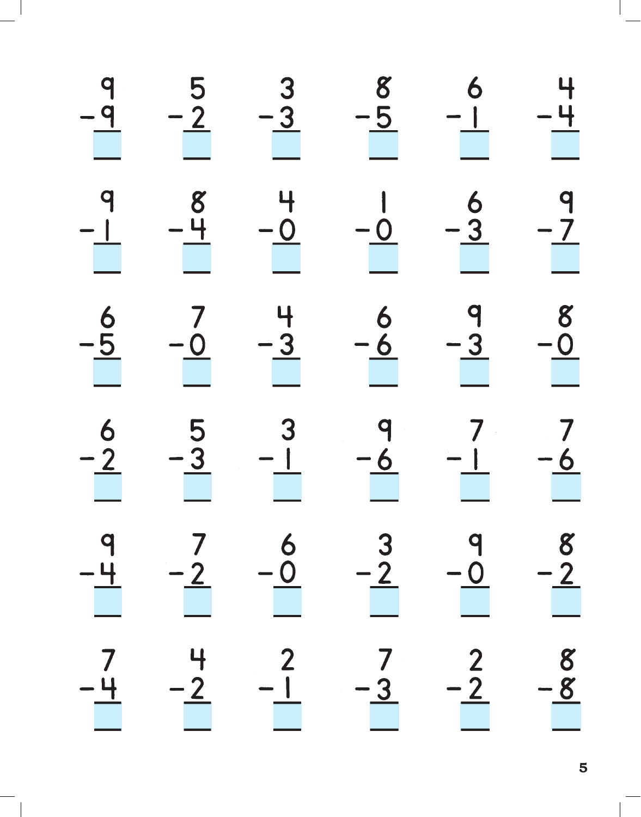|                                                                                                                                                                                                                                                                                                                                                                                                                                                                                                         | $\begin{array}{c}\n5 \\ -2\n\end{array}$ | $\begin{array}{r} 3 \\ -3 \end{array}$             | $\begin{array}{r} 8 \\ -5 \end{array}$             | $\begin{array}{c}\n6 \\ -1\n\end{array}$             |                                               |
|---------------------------------------------------------------------------------------------------------------------------------------------------------------------------------------------------------------------------------------------------------------------------------------------------------------------------------------------------------------------------------------------------------------------------------------------------------------------------------------------------------|------------------------------------------|----------------------------------------------------|----------------------------------------------------|------------------------------------------------------|-----------------------------------------------|
| $\begin{array}{c c c c c} \hline - & & & \\ \hline & - & & \\ \hline & - & & \\ \hline & - & & \\ \hline & - & & \\ \hline & - & & \\ \hline & - & & \\ \hline & - & & \\ \hline & - & & \\ \hline & - & & \\ \hline & - & & \\ \hline & - & & \\ \hline & - & & \\ \hline & - & & \\ \hline & - & & \\ \hline & - & & \\ \hline & - & & \\ \hline & - & & \\ \hline & - & & \\ \hline & - & & \\ \hline & - & & \\ \hline & - & & \\ \hline & - & & \\ \hline & - & & \\ \hline & - & & \\ \hline & -$ | $\frac{8}{1}$                            | $\begin{array}{c}\n+ \\ -0 \\ \hline\n\end{array}$ | $\begin{array}{c}\n1 \\ -0\n\end{array}$           | $\begin{array}{c}\n6 \\ -3 \\ \hline\n\end{array}$   |                                               |
| $\frac{6}{1}$                                                                                                                                                                                                                                                                                                                                                                                                                                                                                           | $\begin{array}{c}\n7 \\ -0\n\end{array}$ | $\frac{4}{-3}$                                     | $\begin{array}{r} 6 \\ -6 \end{array}$             | $\begin{array}{c c}\n9 \\ -3 \\ \hline\n\end{array}$ | $\frac{4}{1}$<br>$-4$<br>$-8$<br>$-8$<br>$-8$ |
| $\frac{6}{2}$                                                                                                                                                                                                                                                                                                                                                                                                                                                                                           | $\begin{array}{c}\n5 \\ -3\n\end{array}$ | $\begin{array}{c}\n3 \\ -1\n\end{array}$           | $\begin{array}{c}\n9 \\ -6 \\ \hline\n\end{array}$ | $\begin{array}{c}\n7 \\ -1\n\end{array}$             | $\begin{array}{c}\n7 \\ -6 \\ \end{array}$    |
|                                                                                                                                                                                                                                                                                                                                                                                                                                                                                                         |                                          |                                                    | $\frac{-2}{\sqrt{2}}$                              | $\overline{\phantom{0}}$                             |                                               |
|                                                                                                                                                                                                                                                                                                                                                                                                                                                                                                         | $-\frac{2}{\sqrt{2}}$                    |                                                    | $-3$                                               | $-\underline{2}$                                     |                                               |